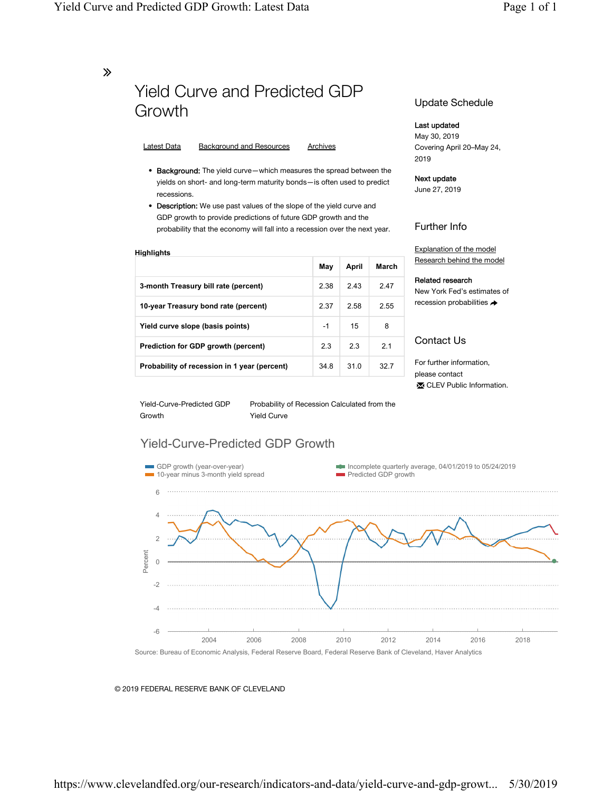∠

# Yield Curve and Predicted GDP Growth

#### Latest Data Background and Resources Archives

- Background: The yield curve—which measures the spread between the yields on short- and long-term maturity bonds—is often used to predict recessions.
- Description: We use past values of the slope of the yield curve and GDP growth to provide predictions of future GDP growth and the probability that the economy will fall into a recession over the next year.

| Highlights                                   |      |       |       |
|----------------------------------------------|------|-------|-------|
|                                              | May  | April | March |
| 3-month Treasury bill rate (percent)         | 2.38 | 243   | 2.47  |
| 10-year Treasury bond rate (percent)         | 2.37 | 2.58  | 2.55  |
| Yield curve slope (basis points)             | -1   | 15    | 8     |
| Prediction for GDP growth (percent)          | 2.3  | 2.3   | 21    |
| Probability of recession in 1 year (percent) | 34.8 | 31.0  | 32.7  |

#### Update Schedule

#### Last updated

May 30, 2019 Covering April 20–May 24, 2019

#### Next update

June 27, 2019

### Further Info

Explanation of the model Research behind the model

#### Related research

New York Fed's estimates of recession probabilities

## Contact Us

For further information, please contact ✉ CLEV Public Information.

Yield-Curve-Predicted GDP Growth

Probability of Recession Calculated from the Yield Curve

## Yield-Curve-Predicted GDP Growth



#### © 2019 FEDERAL RESERVE BANK OF CLEVELAND

https://www.clevelandfed.org/our-research/indicators-and-data/yield-curve-and-gdp-growt... 5/30/2019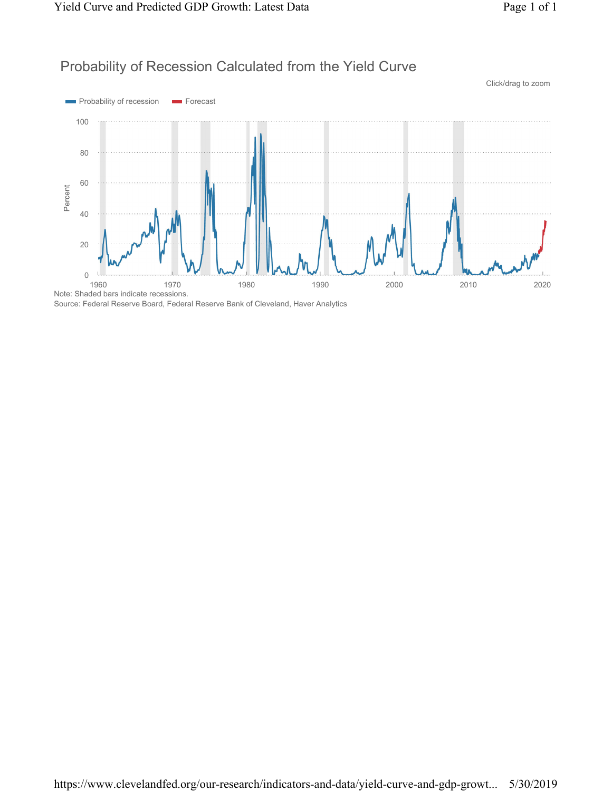## Probability of Recession Calculated from the Yield Curve



Source: Federal Reserve Board, Federal Reserve Bank of Cleveland, Haver Analytics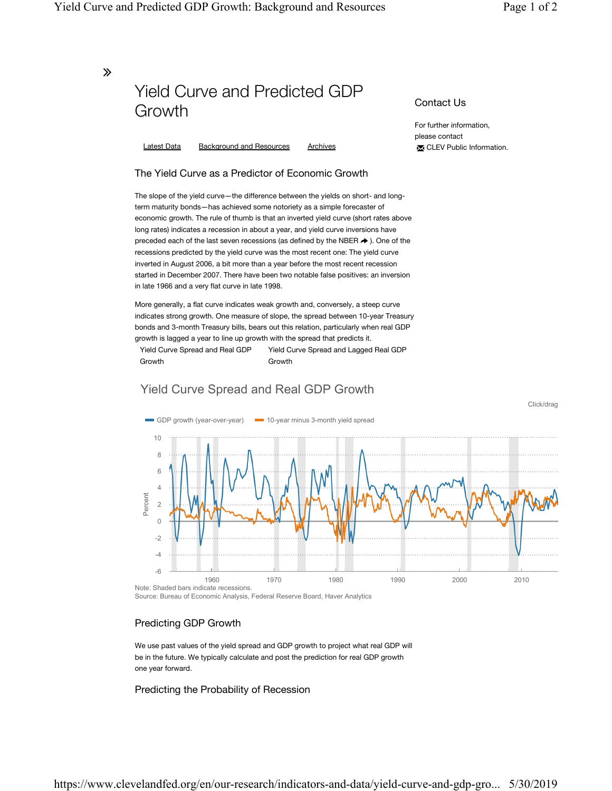Click/drag

Contact Us

For further information, please contact

✉ CLEV Public Information.

∠

# Yield Curve and Predicted GDP Growth

Latest Data Background and Resources Archives

## The Yield Curve as a Predictor of Economic Growth

The slope of the yield curve—the difference between the yields on short- and longterm maturity bonds—has achieved some notoriety as a simple forecaster of economic growth. The rule of thumb is that an inverted yield curve (short rates above long rates) indicates a recession in about a year, and yield curve inversions have preceded each of the last seven recessions (as defined by the NBER  $\rightarrow$  ). One of the recessions predicted by the yield curve was the most recent one: The yield curve inverted in August 2006, a bit more than a year before the most recent recession started in December 2007. There have been two notable false positives: an inversion in late 1966 and a very flat curve in late 1998.

More generally, a flat curve indicates weak growth and, conversely, a steep curve indicates strong growth. One measure of slope, the spread between 10-year Treasury bonds and 3-month Treasury bills, bears out this relation, particularly when real GDP growth is lagged a year to line up growth with the spread that predicts it.

Yield Curve Spread and Real GDP Growth Yield Curve Spread and Lagged Real GDP Growth

## Yield Curve Spread and Real GDP Growth



Source: Bureau of Economic Analysis, Federal Reserve Board, Haver Analytics

### Predicting GDP Growth

We use past values of the yield spread and GDP growth to project what real GDP will be in the future. We typically calculate and post the prediction for real GDP growth one year forward.

Predicting the Probability of Recession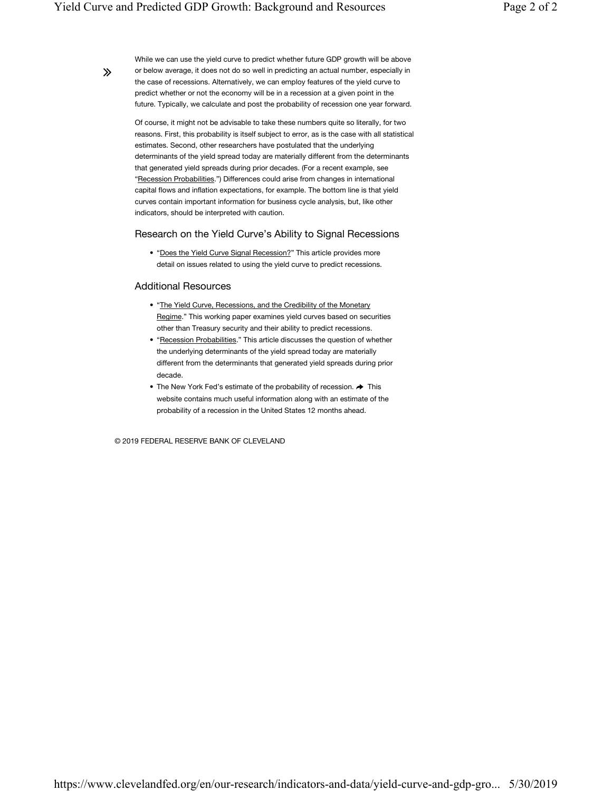∠

While we can use the yield curve to predict whether future GDP growth will be above or below average, it does not do so well in predicting an actual number, especially in the case of recessions. Alternatively, we can employ features of the yield curve to predict whether or not the economy will be in a recession at a given point in the future. Typically, we calculate and post the probability of recession one year forward.

Of course, it might not be advisable to take these numbers quite so literally, for two reasons. First, this probability is itself subject to error, as is the case with all statistical estimates. Second, other researchers have postulated that the underlying determinants of the yield spread today are materially different from the determinants that generated yield spreads during prior decades. (For a recent example, see "Recession Probabilities.") Differences could arise from changes in international capital flows and inflation expectations, for example. The bottom line is that yield curves contain important information for business cycle analysis, but, like other indicators, should be interpreted with caution.

#### Research on the Yield Curve's Ability to Signal Recessions

• "Does the Yield Curve Signal Recession?" This article provides more detail on issues related to using the yield curve to predict recessions.

#### Additional Resources

- "The Yield Curve, Recessions, and the Credibility of the Monetary Regime." This working paper examines yield curves based on securities other than Treasury security and their ability to predict recessions.
- "Recession Probabilities." This article discusses the question of whether the underlying determinants of the yield spread today are materially different from the determinants that generated yield spreads during prior decade.
- $\bullet$  The New York Fed's estimate of the probability of recession.  $\blacktriangleright$  This website contains much useful information along with an estimate of the probability of a recession in the United States 12 months ahead.

© 2019 FEDERAL RESERVE BANK OF CLEVELAND